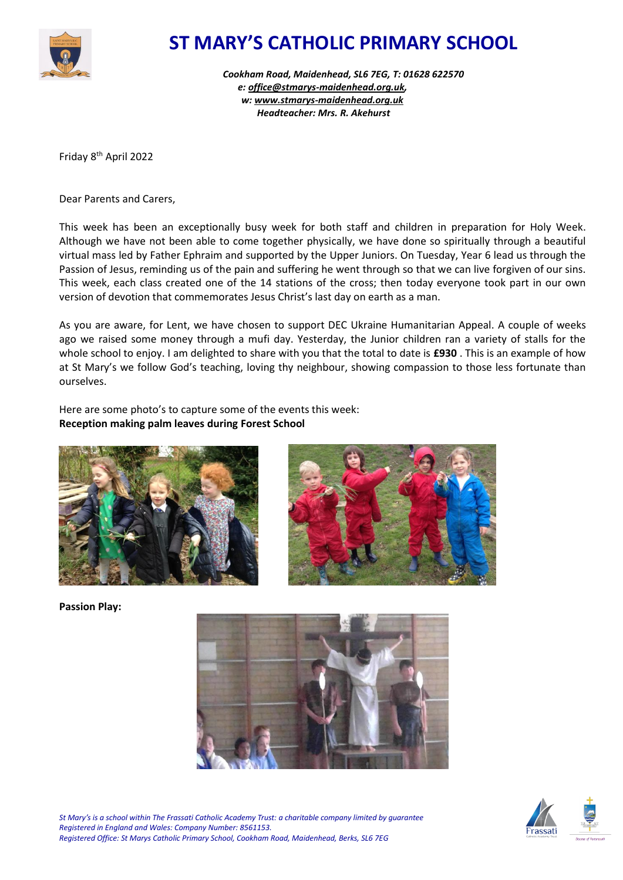

## **ST MARY'S CATHOLIC PRIMARY SCHOOL**

*Cookham Road, Maidenhead, SL6 7EG, T: 01628 622570 e: [office@stmarys-maidenhead.org.uk,](mailto:office@stmarys-maidenhead.org.uk) w: [www.stmarys-maidenhead.org.uk](http://www.stmarys-maidenhead.org.uk/) Headteacher: Mrs. R. Akehurst*

Friday 8th April 2022

Dear Parents and Carers,

This week has been an exceptionally busy week for both staff and children in preparation for Holy Week. Although we have not been able to come together physically, we have done so spiritually through a beautiful virtual mass led by Father Ephraim and supported by the Upper Juniors. On Tuesday, Year 6 lead us through the Passion of Jesus, reminding us of the pain and suffering he went through so that we can live forgiven of our sins. This week, each class created one of the 14 stations of the cross; then today everyone took part in our own version of devotion that commemorates Jesus Christ's last day on earth as a man.

As you are aware, for Lent, we have chosen to support DEC Ukraine Humanitarian Appeal. A couple of weeks ago we raised some money through a mufi day. Yesterday, the Junior children ran a variety of stalls for the whole school to enjoy. I am delighted to share with you that the total to date is **£930** . This is an example of how at St Mary's we follow God's teaching, loving thy neighbour, showing compassion to those less fortunate than ourselves.

Here are some photo's to capture some of the events this week: **Reception making palm leaves during Forest School**





**Passion Play:**